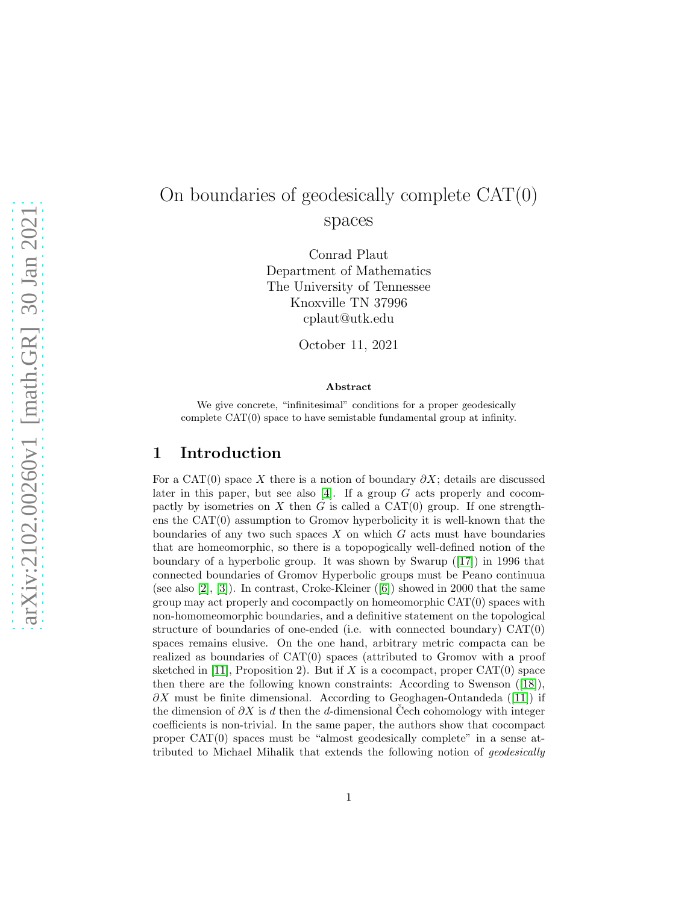# On boundaries of geodesically complete CAT(0) spaces

Conrad Plaut Department of Mathematics The University of Tennessee Knoxville TN 37996 cplaut@utk.edu

October 11, 2021

#### Abstract

We give concrete, "infinitesimal" conditions for a proper geodesically complete CAT(0) space to have semistable fundamental group at infinity.

#### 1 Introduction

For a CAT(0) space X there is a notion of boundary  $\partial X$ ; details are discussed later in this paper, but see also [\[4\]](#page-11-0). If a group  $G$  acts properly and cocompactly by isometries on X then G is called a  $CAT(0)$  group. If one strengthens the CAT(0) assumption to Gromov hyperbolicity it is well-known that the boundaries of any two such spaces  $X$  on which  $G$  acts must have boundaries that are homeomorphic, so there is a topopogically well-defined notion of the boundary of a hyperbolic group. It was shown by Swarup([\[17\]](#page-12-0)) in 1996 that connected boundaries of Gromov Hyperbolic groups must be Peano continuua (see also [\[2\]](#page-11-1), [\[3\]](#page-11-2)). In contrast, Croke-Kleiner([\[6\]](#page-12-1)) showed in 2000 that the same group may act properly and cocompactly on homeomorphic CAT(0) spaces with non-homomeomorphic boundaries, and a definitive statement on the topological structure of boundaries of one-ended (i.e. with connected boundary)  $CAT(0)$ spaces remains elusive. On the one hand, arbitrary metric compacta can be realized as boundaries of CAT(0) spaces (attributed to Gromov with a proof sketched in [\[11\]](#page-12-2), Proposition 2). But if X is a cocompact, proper  $CAT(0)$  space then there are the following known constraints: According to Swenson([\[18\]](#page-12-3)),  $\partial X$  $\partial X$  $\partial X$  must be finite dimensional. According to Geoghagen-Ontandeda ([\[11\]](#page-12-2)) if the dimension of  $\partial X$  is d then the d-dimensional Cech cohomology with integer coefficients is non-trivial. In the same paper, the authors show that cocompact proper CAT(0) spaces must be "almost geodesically complete" in a sense attributed to Michael Mihalik that extends the following notion of geodesically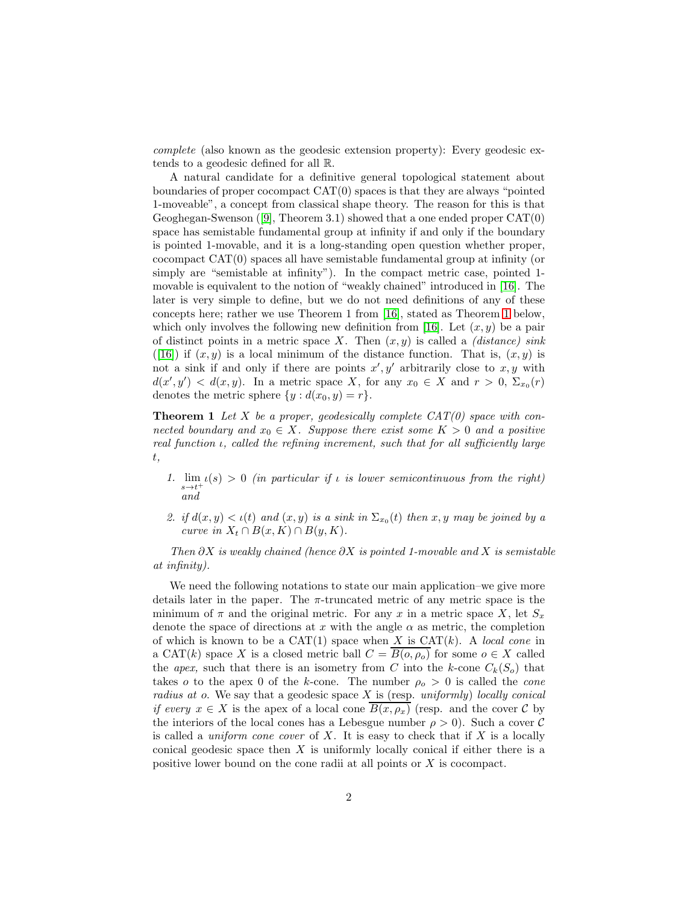complete (also known as the geodesic extension property): Every geodesic extends to a geodesic defined for all R.

A natural candidate for a definitive general topological statement about boundaries of proper cocompact CAT(0) spaces is that they are always "pointed 1-moveable", a concept from classical shape theory. The reason for this is that Geoghegan-Swenson([\[9\]](#page-12-4), Theorem 3.1) showed that a one ended proper CAT(0) space has semistable fundamental group at infinity if and only if the boundary is pointed 1-movable, and it is a long-standing open question whether proper, cocompact CAT(0) spaces all have semistable fundamental group at infinity (or simply are "semistable at infinity"). In the compact metric case, pointed 1 movable is equivalent to the notion of "weakly chained" introduced in [\[16\]](#page-12-5). The later is very simple to define, but we do not need definitions of any of these concepts here; rather we use Theorem 1 from [\[16\]](#page-12-5), stated as Theorem [1](#page-1-0) below, which only involves the following new definition from [\[16\]](#page-12-5). Let  $(x, y)$  be a pair of distinct points in a metric space X. Then  $(x, y)$  is called a *(distance) sink* ([\[16\]](#page-12-5)) if  $(x, y)$  is a local minimum of the distance function. That is,  $(x, y)$  is not a sink if and only if there are points  $x', y'$  arbitrarily close to  $x, y$  with  $d(x', y') < d(x, y)$ . In a metric space X, for any  $x_0 \in X$  and  $r > 0$ ,  $\Sigma_{x_0}(r)$ denotes the metric sphere  $\{y : d(x_0, y) = r\}.$ 

<span id="page-1-0"></span>**Theorem 1** Let X be a proper, geodesically complete  $CAT(0)$  space with connected boundary and  $x_0 \in X$ . Suppose there exist some  $K > 0$  and a positive real function  $\iota$ , called the refining increment, such that for all sufficiently large t,

- 1.  $\lim_{s \to t^+} \iota(s) > 0$  (in particular if  $\iota$  is lower semicontinuous from the right) and
- 2. if  $d(x, y) < \iota(t)$  and  $(x, y)$  is a sink in  $\Sigma_{x_0}(t)$  then  $x, y$  may be joined by a curve in  $X_t \cap B(x, K) \cap B(y, K)$ .

Then  $\partial X$  is weakly chained (hence  $\partial X$  is pointed 1-movable and X is semistable at infinity).

<span id="page-1-1"></span>We need the following notations to state our main application–we give more details later in the paper. The  $\pi$ -truncated metric of any metric space is the minimum of  $\pi$  and the original metric. For any x in a metric space X, let  $S_x$ denote the space of directions at x with the angle  $\alpha$  as metric, the completion of which is known to be a  $CAT(1)$  space when X is  $CAT(k)$ . A local cone in a CAT(k) space X is a closed metric ball  $C = \overline{B(o, \rho_o)}$  for some  $o \in X$  called the apex, such that there is an isometry from C into the k-cone  $C_k(S_o)$  that takes o to the apex 0 of the k-cone. The number  $\rho_o > 0$  is called the *cone* radius at o. We say that a geodesic space  $X$  is (resp. uniformly) locally conical if every  $x \in X$  is the apex of a local cone  $\overline{B(x, \rho_x)}$  (resp. and the cover C by the interiors of the local cones has a Lebesgue number  $\rho > 0$ ). Such a cover C is called a *uniform cone cover* of X. It is easy to check that if X is a locally conical geodesic space then X is uniformly locally conical if either there is a positive lower bound on the cone radii at all points or X is cocompact.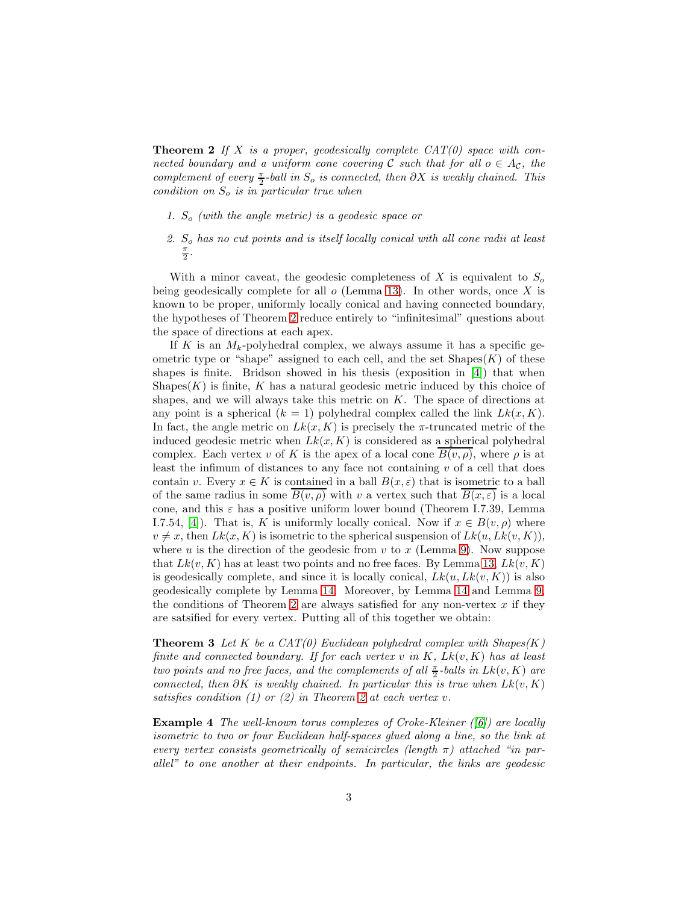**Theorem 2** If X is a proper, geodesically complete  $CAT(0)$  space with connected boundary and a uniform cone covering C such that for all  $o \in A_{\mathcal{C}}$ , the complement of every  $\frac{\pi}{2}$ -ball in  $S_o$  is connected, then  $\partial X$  is weakly chained. This condition on  $S<sub>o</sub>$  is in particular true when

- 1.  $S<sub>o</sub>$  (with the angle metric) is a geodesic space or
- 2.  $S<sub>o</sub>$  has no cut points and is itself locally conical with all cone radii at least π 2 .

With a minor caveat, the geodesic completeness of X is equivalent to  $S<sub>o</sub>$ being geodesically complete for all  $o$  (Lemma [13\)](#page-6-0). In other words, once X is known to be proper, uniformly locally conical and having connected boundary, the hypotheses of Theorem [2](#page-1-1) reduce entirely to "infinitesimal" questions about the space of directions at each apex.

If K is an  $M_k$ -polyhedral complex, we always assume it has a specific geometric type or "shape" assigned to each cell, and the set  $\text{Shapes}(K)$  of these shapes is finite. Bridson showed in his thesis (exposition in [\[4\]](#page-11-0)) that when Shapes $(K)$  is finite, K has a natural geodesic metric induced by this choice of shapes, and we will always take this metric on  $K$ . The space of directions at any point is a spherical  $(k = 1)$  polyhedral complex called the link  $Lk(x, K)$ . In fact, the angle metric on  $Lk(x, K)$  is precisely the  $\pi$ -truncated metric of the induced geodesic metric when  $Lk(x, K)$  is considered as a spherical polyhedral complex. Each vertex v of K is the apex of a local cone  $B(v, \rho)$ , where  $\rho$  is at least the infimum of distances to any face not containing  $v$  of a cell that does contain v. Every  $x \in K$  is contained in a ball  $B(x, \varepsilon)$  that is isometric to a ball of the same radius in some  $\overline{B(v,\rho)}$  with v a vertex such that  $\overline{B(x,\varepsilon)}$  is a local cone, and this  $\varepsilon$  has a positive uniform lower bound (Theorem I.7.39, Lemma I.7.54, [\[4\]](#page-11-0)). That is, K is uniformly locally conical. Now if  $x \in B(v, \rho)$  where  $v \neq x$ , then  $Lk(x, K)$  is isometric to the spherical suspension of  $Lk(u, Lk(v, K)),$ where u is the direction of the geodesic from v to x (Lemma [9\)](#page-5-0). Now suppose that  $Lk(v, K)$  has at least two points and no free faces. By Lemma [13,](#page-6-0)  $Lk(v, K)$ is geodesically complete, and since it is locally conical,  $Lk(u, Lk(v, K))$  is also geodesically complete by Lemma [14.](#page-7-0) Moreover, by Lemma [14](#page-7-0) and Lemma [9,](#page-5-0) the conditions of Theorem [2](#page-1-1) are always satisfied for any non-vertex  $x$  if they are satsified for every vertex. Putting all of this together we obtain:

<span id="page-2-0"></span>**Theorem 3** Let K be a  $CAT(0)$  Euclidean polyhedral complex with  $Shape(K)$ finite and connected boundary. If for each vertex  $v$  in  $K$ ,  $Lk(v, K)$  has at least two points and no free faces, and the complements of all  $\frac{\pi}{2}$ -balls in  $Lk(v, K)$  are connected, then  $\partial K$  is weakly chained. In particular this is true when  $Lk(v, K)$ satisfies condition (1) or (2) in Theorem [2](#page-1-1) at each vertex v.

**Example 4** The well-known torus complexes of Croke-Kleiner  $(|6|)$  are locally isometric to two or four Euclidean half-spaces glued along a line, so the link at every vertex consists geometrically of semicircles (length  $\pi$ ) attached "in parallel" to one another at their endpoints. In particular, the links are geodesic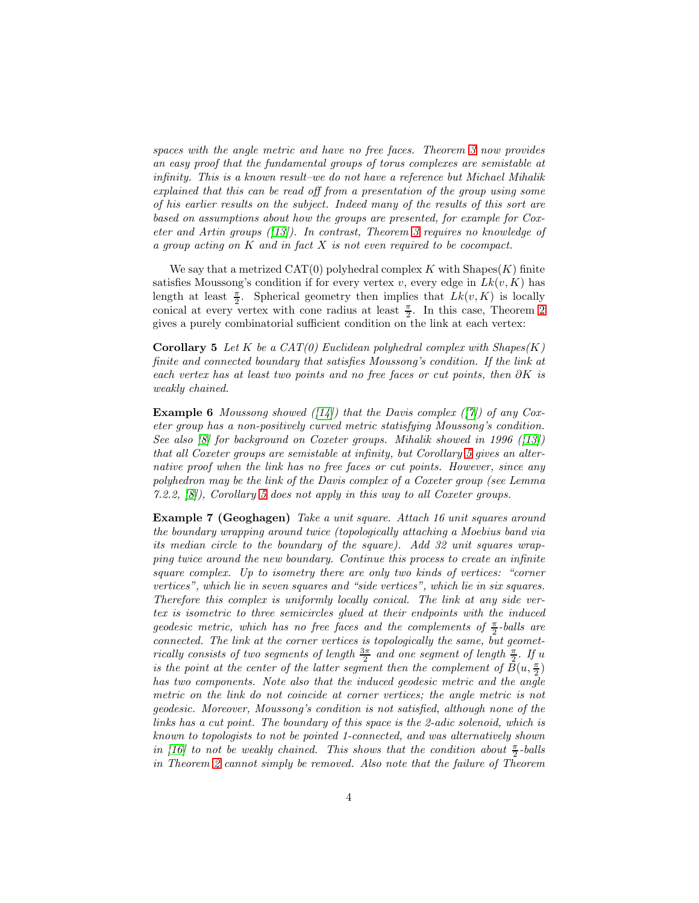spaces with the angle metric and have no free faces. Theorem [3](#page-2-0) now provides an easy proof that the fundamental groups of torus complexes are semistable at infinity. This is a known result–we do not have a reference but Michael Mihalik explained that this can be read off from a presentation of the group using some of his earlier results on the subject. Indeed many of the results of this sort are based on assumptions about how the groups are presented, for example for Coxeter and Artin groups  $(13)$ . In contrast, Theorem [3](#page-2-0) requires no knowledge of a group acting on  $K$  and in fact  $X$  is not even required to be cocompact.

We say that a metrized  $CAT(0)$  polyhedral complex K with Shapes $(K)$  finite satisfies Moussong's condition if for every vertex  $v$ , every edge in  $Lk(v, K)$  has length at least  $\frac{\pi}{2}$ . Spherical geometry then implies that  $Lk(v, K)$  is locally conical at every vertex with cone radius at least  $\frac{\pi}{2}$ . In this case, Theorem [2](#page-1-1) gives a purely combinatorial sufficient condition on the link at each vertex:

<span id="page-3-0"></span>**Corollary 5** Let K be a CAT(0) Euclidean polyhedral complex with  $\text{Shapes}(K)$ finite and connected boundary that satisfies Moussong's condition. If the link at each vertex has at least two points and no free faces or cut points, then ∂K is weakly chained.

**Example 6** Moussong showed ([\[14\]](#page-12-7)) that the Davis complex ([\[7\]](#page-12-8)) of any Coxeter group has a non-positively curved metric statisfying Moussong's condition. See also [\[8\]](#page-12-9) for background on Coxeter groups. Mihalik showed in 1996 ([\[13\]](#page-12-6)) that all Coxeter groups are semistable at infinity, but Corollary [5](#page-3-0) gives an alternative proof when the link has no free faces or cut points. However, since any polyhedron may be the link of the Davis complex of a Coxeter group (see Lemma 7.2.2, [\[8\]](#page-12-9)), Corollary [5](#page-3-0) does not apply in this way to all Coxeter groups.

Example 7 (Geoghagen) Take a unit square. Attach 16 unit squares around the boundary wrapping around twice (topologically attaching a Moebius band via its median circle to the boundary of the square). Add 32 unit squares wrapping twice around the new boundary. Continue this process to create an infinite square complex. Up to isometry there are only two kinds of vertices: "corner vertices", which lie in seven squares and "side vertices", which lie in six squares. Therefore this complex is uniformly locally conical. The link at any side vertex is isometric to three semicircles glued at their endpoints with the induced geodesic metric, which has no free faces and the complements of  $\frac{\pi}{2}$ -balls are connected. The link at the corner vertices is topologically the same, but geometrically consists of two segments of length  $\frac{3\pi}{2}$  and one segment of length  $\frac{\pi}{2}$ . If u is the point at the center of the latter segment then the complement of  $\bar{B}(u, \frac{\pi}{2})$ has two components. Note also that the induced geodesic metric and the angle metric on the link do not coincide at corner vertices; the angle metric is not geodesic. Moreover, Moussong's condition is not satisfied, although none of the links has a cut point. The boundary of this space is the 2-adic solenoid, which is known to topologists to not be pointed 1-connected, and was alternatively shown in [\[16\]](#page-12-5) to not be weakly chained. This shows that the condition about  $\frac{\pi}{2}$ -balls in Theorem [2](#page-1-1) cannot simply be removed. Also note that the failure of Theorem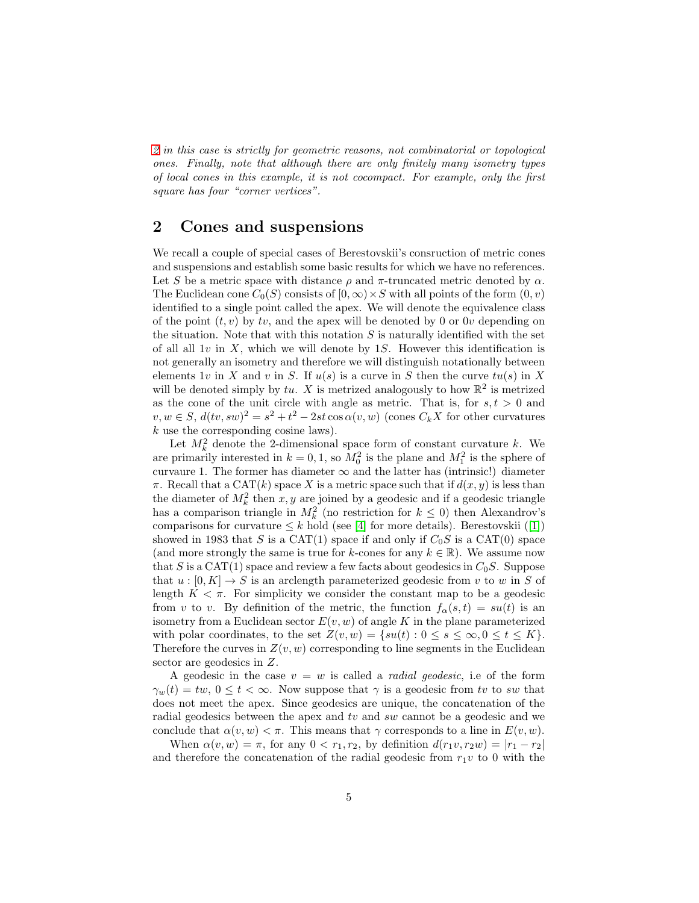[2](#page-1-1) in this case is strictly for geometric reasons, not combinatorial or topological ones. Finally, note that although there are only finitely many isometry types of local cones in this example, it is not cocompact. For example, only the first square has four "corner vertices".

### 2 Cones and suspensions

We recall a couple of special cases of Berestovskii's consruction of metric cones and suspensions and establish some basic results for which we have no references. Let S be a metric space with distance  $\rho$  and  $\pi$ -truncated metric denoted by  $\alpha$ . The Euclidean cone  $C_0(S)$  consists of  $[0, \infty) \times S$  with all points of the form  $(0, v)$ identified to a single point called the apex. We will denote the equivalence class of the point  $(t, v)$  by tv, and the apex will be denoted by 0 or 0v depending on the situation. Note that with this notation  $S$  is naturally identified with the set of all all 1v in X, which we will denote by 1S. However this identification is not generally an isometry and therefore we will distinguish notationally between elements 1v in X and v in S. If  $u(s)$  is a curve in S then the curve  $tu(s)$  in X will be denoted simply by tu. X is metrized analogously to how  $\mathbb{R}^2$  is metrized as the cone of the unit circle with angle as metric. That is, for  $s, t > 0$  and  $v, w \in S$ ,  $d(tv, sw)^2 = s^2 + t^2 - 2st \cos \alpha (v, w)$  (cones  $C_k X$  for other curvatures k use the corresponding cosine laws).

Let  $M_k^2$  denote the 2-dimensional space form of constant curvature k. We are primarily interested in  $k = 0, 1$ , so  $M_0^2$  is the plane and  $M_1^2$  is the sphere of curvaure 1. The former has diameter  $\infty$  and the latter has (intrinsic!) diameter  $\pi$ . Recall that a CAT(k) space X is a metric space such that if  $d(x, y)$  is less than the diameter of  $M_k^2$  then  $x, y$  are joined by a geodesic and if a geodesic triangle has a comparison triangle in  $M_k^2$  (no restriction for  $k \leq 0$ ) then Alexandrov's comparisonsfor curvature  $\leq k$  hold (see [\[4\]](#page-11-0) for more details). Berestovskii ([\[1\]](#page-11-3)) showed in 1983 that S is a CAT(1) space if and only if  $C_0S$  is a CAT(0) space (and more strongly the same is true for k-cones for any  $k \in \mathbb{R}$ ). We assume now that S is a CAT(1) space and review a few facts about geodesics in  $C_0S$ . Suppose that  $u : [0, K] \to S$  is an arclength parameterized geodesic from v to w in S of length  $K < \pi$ . For simplicity we consider the constant map to be a geodesic from v to v. By definition of the metric, the function  $f_{\alpha}(s,t) = su(t)$  is an isometry from a Euclidean sector  $E(v, w)$  of angle K in the plane parameterized with polar coordinates, to the set  $Z(v, w) = \{su(t): 0 \le s \le \infty, 0 \le t \le K\}.$ Therefore the curves in  $Z(v, w)$  corresponding to line segments in the Euclidean sector are geodesics in Z.

A geodesic in the case  $v = w$  is called a *radial geodesic*, i.e of the form  $\gamma_w(t) = tw, 0 \le t < \infty$ . Now suppose that  $\gamma$  is a geodesic from tv to sw that does not meet the apex. Since geodesics are unique, the concatenation of the radial geodesics between the apex and tv and sw cannot be a geodesic and we conclude that  $\alpha(v, w) < \pi$ . This means that  $\gamma$  corresponds to a line in  $E(v, w)$ .

When  $\alpha(v, w) = \pi$ , for any  $0 < r_1, r_2$ , by definition  $d(r_1v, r_2w) = |r_1 - r_2|$ and therefore the concatenation of the radial geodesic from  $r_1v$  to 0 with the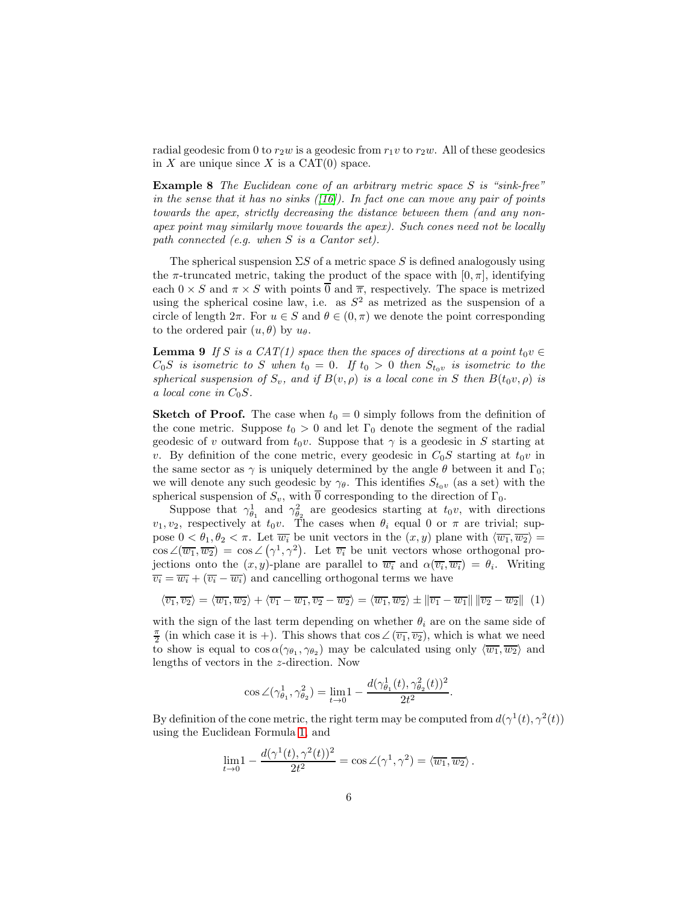radial geodesic from 0 to  $r_2w$  is a geodesic from  $r_1v$  to  $r_2w$ . All of these geodesics in  $X$  are unique since  $X$  is a CAT(0) space.

Example 8 The Euclidean cone of an arbitrary metric space S is "sink-free" in the sense that it has no sinks  $([16])$  $([16])$  $([16])$ . In fact one can move any pair of points towards the apex, strictly decreasing the distance between them (and any nonapex point may similarly move towards the apex). Such cones need not be locally path connected (e.g. when S is a Cantor set).

The spherical suspension  $\Sigma S$  of a metric space S is defined analogously using the  $\pi$ -truncated metric, taking the product of the space with  $[0, \pi]$ , identifying each  $0 \times S$  and  $\pi \times S$  with points  $\overline{0}$  and  $\overline{\pi}$ , respectively. The space is metrized using the spherical cosine law, i.e. as  $S<sup>2</sup>$  as metrized as the suspension of a circle of length  $2\pi$ . For  $u \in S$  and  $\theta \in (0, \pi)$  we denote the point corresponding to the ordered pair  $(u, \theta)$  by  $u_{\theta}$ .

<span id="page-5-0"></span>**Lemma 9** If S is a CAT(1) space then the spaces of directions at a point  $t_0v \in$  $C_0S$  is isometric to S when  $t_0 = 0$ . If  $t_0 > 0$  then  $S_{t_0v}$  is isometric to the spherical suspension of  $S_v$ , and if  $B(v, \rho)$  is a local cone in S then  $B(t_0v, \rho)$  is a local cone in  $C_0S$ .

**Sketch of Proof.** The case when  $t_0 = 0$  simply follows from the definition of the cone metric. Suppose  $t_0 > 0$  and let  $\Gamma_0$  denote the segment of the radial geodesic of v outward from  $t_0v$ . Suppose that  $\gamma$  is a geodesic in S starting at v. By definition of the cone metric, every geodesic in  $C_0S$  starting at  $t_0v$  in the same sector as  $\gamma$  is uniquely determined by the angle  $\theta$  between it and  $\Gamma_0$ ; we will denote any such geodesic by  $\gamma_{\theta}$ . This identifies  $S_{t_0v}$  (as a set) with the spherical suspension of  $S_v$ , with  $\overline{0}$  corresponding to the direction of  $\Gamma_0$ .

Suppose that  $\gamma_{\theta_1}^1$  and  $\gamma_{\theta_2}^2$  are geodesics starting at  $t_0v$ , with directions  $v_1, v_2$ , respectively at  $t_0v$ . The cases when  $\theta_i$  equal 0 or  $\pi$  are trivial; suppose  $0 < \theta_1, \theta_2 < \pi$ . Let  $\overline{w_i}$  be unit vectors in the  $(x, y)$  plane with  $\langle \overline{w_1}, \overline{w_2} \rangle =$  $\cos \angle(\overline{w_1}, \overline{w_2}) = \cos \angle (\gamma^1, \gamma^2)$ . Let  $\overline{v_i}$  be unit vectors whose orthogonal projections onto the  $(x, y)$ -plane are parallel to  $\overline{w_i}$  and  $\alpha(\overline{v_i}, \overline{w_i}) = \theta_i$ . Writing  $\overline{v_i} = \overline{w_i} + (\overline{v_i} - \overline{w_i})$  and cancelling orthogonal terms we have

<span id="page-5-1"></span>
$$
\langle \overline{v_1}, \overline{v_2} \rangle = \langle \overline{w_1}, \overline{w_2} \rangle + \langle \overline{v_1} - \overline{w_1}, \overline{v_2} - \overline{w_2} \rangle = \langle \overline{w_1}, \overline{w_2} \rangle \pm ||\overline{v_1} - \overline{w_1}|| ||\overline{v_2} - \overline{w_2}|| (1)
$$

with the sign of the last term depending on whether  $\theta_i$  are on the same side of  $\frac{\pi}{2}$  (in which case it is +). This shows that  $\cos \angle (\overline{v_1}, \overline{v_2})$ , which is what we need to show is equal to  $\cos \alpha(\gamma_{\theta_1}, \gamma_{\theta_2})$  may be calculated using only  $\langle \overline{w_1}, \overline{w_2} \rangle$  and lengths of vectors in the z-direction. Now

$$
\cos \angle(\gamma_{\theta_1}^1, \gamma_{\theta_2}^2) = \lim_{t \to 0} 1 - \frac{d(\gamma_{\theta_1}^1(t), \gamma_{\theta_2}^2(t))^2}{2t^2}.
$$

By definition of the cone metric, the right term may be computed from  $d(\gamma^1(t), \gamma^2(t))$ using the Euclidean Formula [1,](#page-5-1) and

$$
\lim_{t \to 0} 1 - \frac{d(\gamma^1(t), \gamma^2(t))^2}{2t^2} = \cos \angle(\gamma^1, \gamma^2) = \langle \overline{w_1}, \overline{w_2} \rangle.
$$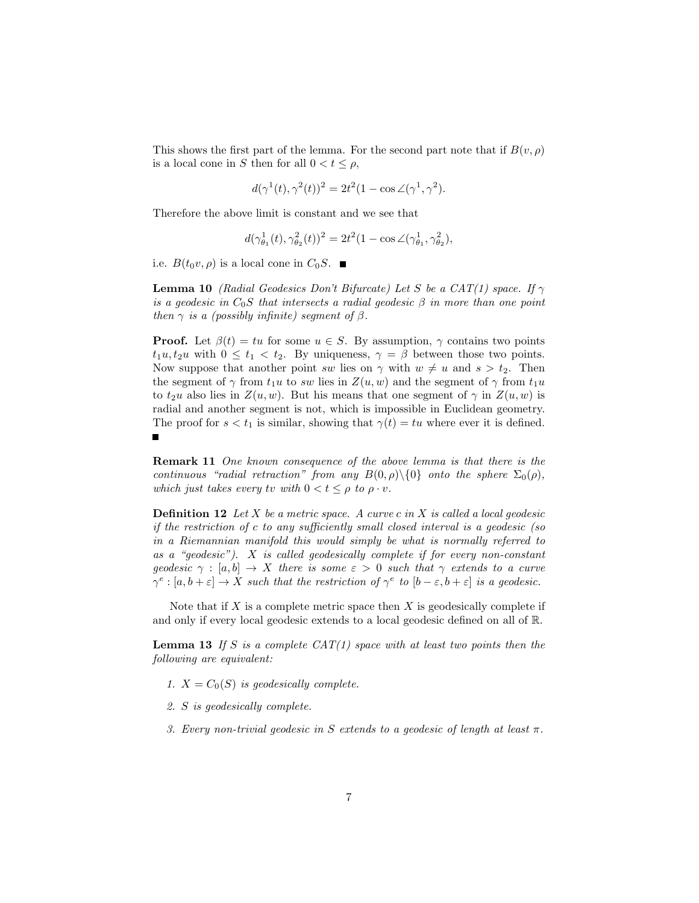This shows the first part of the lemma. For the second part note that if  $B(v, \rho)$ is a local cone in S then for all  $0 < t \leq \rho$ ,

$$
d(\gamma^1(t), \gamma^2(t))^2 = 2t^2(1 - \cos \angle(\gamma^1, \gamma^2).
$$

Therefore the above limit is constant and we see that

$$
d(\gamma_{\theta_1}^1(t),\gamma_{\theta_2}^2(t))^2=2t^2(1-\cos\angle(\gamma_{\theta_1}^1,\gamma_{\theta_2}^2),
$$

<span id="page-6-1"></span>i.e.  $B(t_0v, \rho)$  is a local cone in  $C_0S$ .

**Lemma 10** (Radial Geodesics Don't Bifurcate) Let S be a CAT(1) space. If  $\gamma$ is a geodesic in  $C_0S$  that intersects a radial geodesic  $\beta$  in more than one point then  $\gamma$  is a (possibly infinite) segment of  $\beta$ .

**Proof.** Let  $\beta(t) = tu$  for some  $u \in S$ . By assumption,  $\gamma$  contains two points  $t_1u, t_2u$  with  $0 \leq t_1 < t_2$ . By uniqueness,  $\gamma = \beta$  between those two points. Now suppose that another point sw lies on  $\gamma$  with  $w \neq u$  and  $s > t_2$ . Then the segment of  $\gamma$  from  $t_1u$  to sw lies in  $Z(u, w)$  and the segment of  $\gamma$  from  $t_1u$ to  $t_2u$  also lies in  $Z(u, w)$ . But his means that one segment of  $\gamma$  in  $Z(u, w)$  is radial and another segment is not, which is impossible in Euclidean geometry. The proof for  $s < t_1$  is similar, showing that  $\gamma(t) = tu$  where ever it is defined.  $\blacksquare$ 

<span id="page-6-2"></span>Remark 11 One known consequence of the above lemma is that there is the continuous "radial retraction" from any  $B(0, \rho) \setminus \{0\}$  onto the sphere  $\Sigma_0(\rho)$ , which just takes every tv with  $0 < t \le \rho$  to  $\rho \cdot v$ .

**Definition 12** Let X be a metric space. A curve c in X is called a local geodesic if the restriction of c to any sufficiently small closed interval is a geodesic (so in a Riemannian manifold this would simply be what is normally referred to as a "geodesic"). X is called geodesically complete if for every non-constant geodesic  $\gamma : [a, b] \to X$  there is some  $\varepsilon > 0$  such that  $\gamma$  extends to a curve  $\gamma^e : [a, b + \varepsilon] \to X$  such that the restriction of  $\gamma^e$  to  $[b - \varepsilon, b + \varepsilon]$  is a geodesic.

<span id="page-6-0"></span>Note that if  $X$  is a complete metric space then  $X$  is geodesically complete if and only if every local geodesic extends to a local geodesic defined on all of R.

**Lemma 13** If S is a complete  $CAT(1)$  space with at least two points then the following are equivalent:

- 1.  $X = C_0(S)$  is geodesically complete.
- 2. S is geodesically complete.
- 3. Every non-trivial geodesic in S extends to a geodesic of length at least  $\pi$ .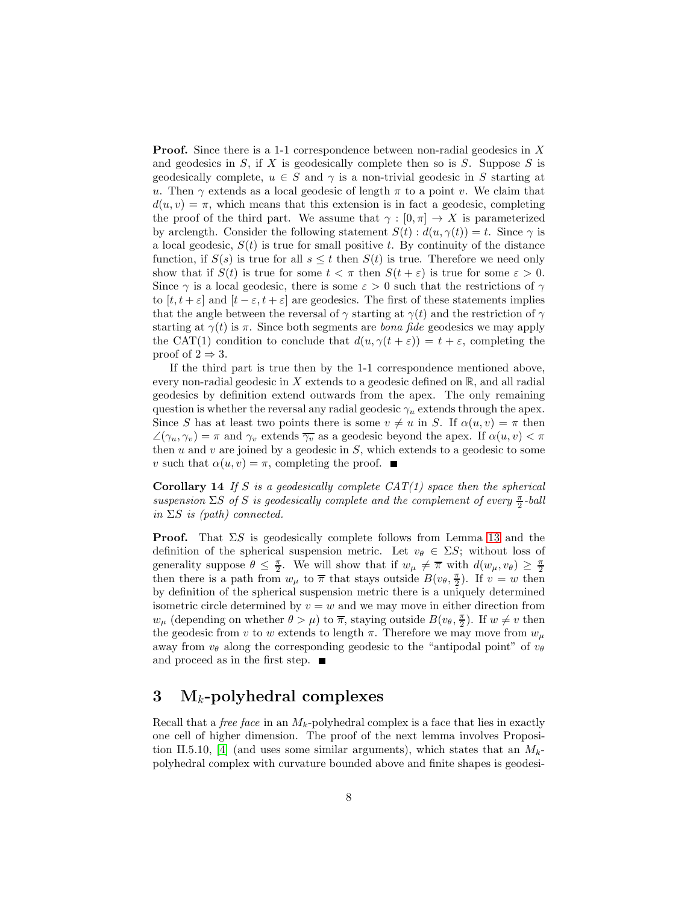Proof. Since there is a 1-1 correspondence between non-radial geodesics in X and geodesics in  $S$ , if  $X$  is geodesically complete then so is  $S$ . Suppose  $S$  is geodesically complete,  $u \in S$  and  $\gamma$  is a non-trivial geodesic in S starting at u. Then  $\gamma$  extends as a local geodesic of length  $\pi$  to a point v. We claim that  $d(u, v) = \pi$ , which means that this extension is in fact a geodesic, completing the proof of the third part. We assume that  $\gamma : [0, \pi] \to X$  is parameterized by arclength. Consider the following statement  $S(t) : d(u, \gamma(t)) = t$ . Since  $\gamma$  is a local geodesic,  $S(t)$  is true for small positive t. By continuity of the distance function, if  $S(s)$  is true for all  $s \leq t$  then  $S(t)$  is true. Therefore we need only show that if  $S(t)$  is true for some  $t < \pi$  then  $S(t + \varepsilon)$  is true for some  $\varepsilon > 0$ . Since  $\gamma$  is a local geodesic, there is some  $\varepsilon > 0$  such that the restrictions of  $\gamma$ to  $[t, t + \varepsilon]$  and  $[t - \varepsilon, t + \varepsilon]$  are geodesics. The first of these statements implies that the angle between the reversal of  $\gamma$  starting at  $\gamma(t)$  and the restriction of  $\gamma$ starting at  $\gamma(t)$  is  $\pi$ . Since both segments are *bona fide* geodesics we may apply the CAT(1) condition to conclude that  $d(u, \gamma(t+\varepsilon)) = t + \varepsilon$ , completing the proof of  $2 \Rightarrow 3$ .

If the third part is true then by the 1-1 correspondence mentioned above, every non-radial geodesic in X extends to a geodesic defined on  $\mathbb{R}$ , and all radial geodesics by definition extend outwards from the apex. The only remaining question is whether the reversal any radial geodesic  $\gamma_u$  extends through the apex. Since S has at least two points there is some  $v \neq u$  in S. If  $\alpha(u, v) = \pi$  then  $\angle(\gamma_u, \gamma_v) = \pi$  and  $\gamma_v$  extends  $\overline{\gamma_v}$  as a geodesic beyond the apex. If  $\alpha(u, v) < \pi$ then  $u$  and  $v$  are joined by a geodesic in  $S$ , which extends to a geodesic to some v such that  $\alpha(u, v) = \pi$ , completing the proof.  $\blacksquare$ 

<span id="page-7-0"></span>**Corollary 14** If S is a geodesically complete  $CAT(1)$  space then the spherical suspension  $\Sigma S$  of S is geodesically complete and the complement of every  $\frac{\pi}{2}$ -ball in  $\Sigma S$  is (path) connected.

**Proof.** That  $\Sigma S$  is geodesically complete follows from Lemma [13](#page-6-0) and the definition of the spherical suspension metric. Let  $v_{\theta} \in \Sigma S$ ; without loss of generality suppose  $\theta \leq \frac{\pi}{2}$ . We will show that if  $w_{\mu} \neq \overline{\pi}$  with  $d(w_{\mu}, v_{\theta}) \geq \frac{\pi}{2}$ then there is a path from  $w_{\mu}$  to  $\overline{\pi}$  that stays outside  $B(v_{\theta}, \frac{\pi}{2})$ . If  $v = w$  then by definition of the spherical suspension metric there is a uniquely determined isometric circle determined by  $v = w$  and we may move in either direction from  $w_{\mu}$  (depending on whether  $\theta > \mu$ ) to  $\overline{\pi}$ , staying outside  $B(v_{\theta}, \frac{\pi}{2})$ . If  $w \neq v$  then the geodesic from v to w extends to length  $\pi$ . Therefore we may move from  $w_{\mu}$ away from  $v_{\theta}$  along the corresponding geodesic to the "antipodal point" of  $v_{\theta}$ and proceed as in the first step.  $\blacksquare$ 

## 3 M<sub>k</sub>-polyhedral complexes

Recall that a *free face* in an  $M_k$ -polyhedral complex is a face that lies in exactly one cell of higher dimension. The proof of the next lemma involves Proposi-tion II.5.10, [\[4\]](#page-11-0) (and uses some similar arguments), which states that an  $M_{k}$ polyhedral complex with curvature bounded above and finite shapes is geodesi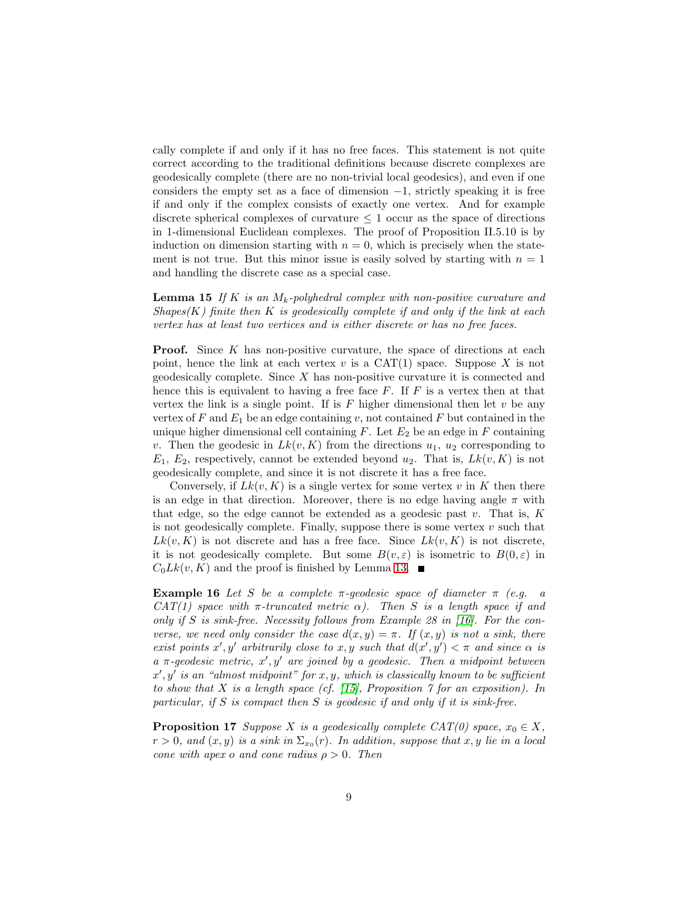cally complete if and only if it has no free faces. This statement is not quite correct according to the traditional definitions because discrete complexes are geodesically complete (there are no non-trivial local geodesics), and even if one considers the empty set as a face of dimension  $-1$ , strictly speaking it is free if and only if the complex consists of exactly one vertex. And for example discrete spherical complexes of curvature  $\leq 1$  occur as the space of directions in 1-dimensional Euclidean complexes. The proof of Proposition II.5.10 is by induction on dimension starting with  $n = 0$ , which is precisely when the statement is not true. But this minor issue is easily solved by starting with  $n = 1$ and handling the discrete case as a special case.

**Lemma 15** If K is an  $M_k$ -polyhedral complex with non-positive curvature and  $Shapes(K)$  finite then K is geodesically complete if and only if the link at each vertex has at least two vertices and is either discrete or has no free faces.

**Proof.** Since  $K$  has non-positive curvature, the space of directions at each point, hence the link at each vertex  $v$  is a CAT(1) space. Suppose  $X$  is not geodesically complete. Since X has non-positive curvature it is connected and hence this is equivalent to having a free face  $F$ . If  $F$  is a vertex then at that vertex the link is a single point. If is  $F$  higher dimensional then let  $v$  be any vertex of F and  $E_1$  be an edge containing v, not contained F but contained in the unique higher dimensional cell containing  $F$ . Let  $E_2$  be an edge in  $F$  containing v. Then the geodesic in  $Lk(v, K)$  from the directions  $u_1, u_2$  corresponding to  $E_1, E_2$ , respectively, cannot be extended beyond  $u_2$ . That is,  $Lk(v, K)$  is not geodesically complete, and since it is not discrete it has a free face.

Conversely, if  $Lk(v, K)$  is a single vertex for some vertex v in K then there is an edge in that direction. Moreover, there is no edge having angle  $\pi$  with that edge, so the edge cannot be extended as a geodesic past  $v$ . That is,  $K$ is not geodesically complete. Finally, suppose there is some vertex  $v$  such that  $Lk(v, K)$  is not discrete and has a free face. Since  $Lk(v, K)$  is not discrete, it is not geodesically complete. But some  $B(v, \varepsilon)$  is isometric to  $B(0, \varepsilon)$  in  $C_0Lk(v, K)$  and the proof is finished by Lemma [13.](#page-6-0)

**Example 16** Let S be a complete  $\pi$ -geodesic space of diameter  $\pi$  (e.g. a CAT(1) space with  $\pi$ -truncated metric  $\alpha$ ). Then S is a length space if and only if S is sink-free. Necessity follows from Example 28 in  $[16]$ . For the converse, we need only consider the case  $d(x, y) = \pi$ . If  $(x, y)$  is not a sink, there exist points x', y' arbitrarily close to x, y such that  $d(x', y') < \pi$  and since  $\alpha$  is  $a \pi$ -geodesic metric,  $x'$ ,  $y'$  are joined by a geodesic. Then a midpoint between  $x', y'$  is an "almost midpoint" for  $x, y$ , which is classically known to be sufficient to show that X is a length space (cf. [\[15\]](#page-12-10), Proposition  $\gamma$  for an exposition). In particular, if  $S$  is compact then  $S$  is geodesic if and only if it is sink-free.

<span id="page-8-0"></span>**Proposition 17** Suppose X is a geodesically complete CAT(0) space,  $x_0 \in X$ ,  $r > 0$ , and  $(x, y)$  is a sink in  $\Sigma_{x_0}(r)$ . In addition, suppose that  $x, y$  lie in a local cone with apex o and cone radius  $\rho > 0$ . Then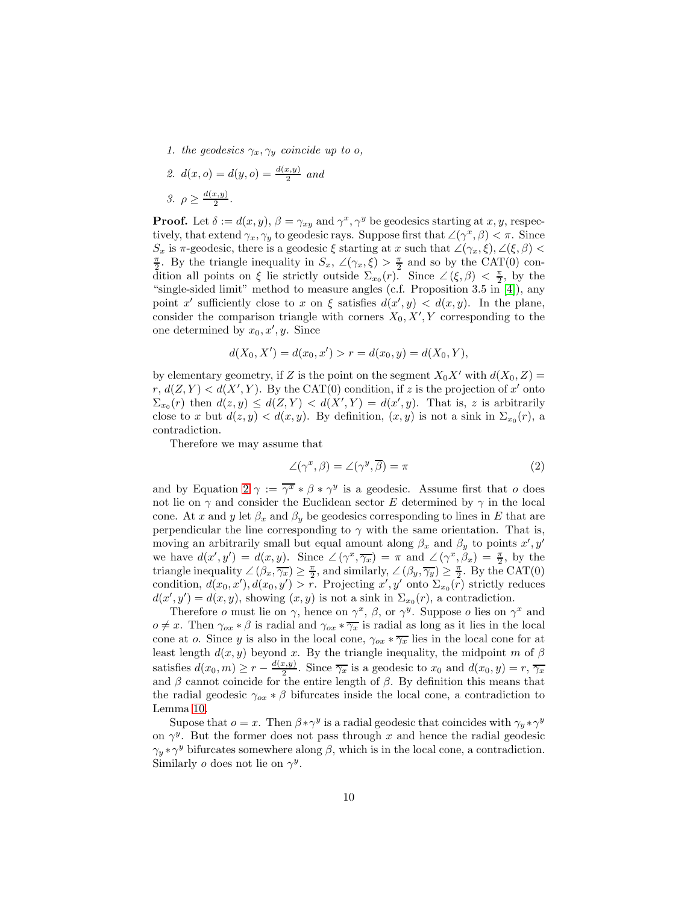- 1. the geodesics  $\gamma_x, \gamma_y$  coincide up to o,
- 2.  $d(x, o) = d(y, o) = \frac{d(x, y)}{2}$  and 3.  $\rho \geq \frac{d(x,y)}{2}$  $rac{x,y)}{2}$ .

**Proof.** Let  $\delta := d(x, y), \beta = \gamma_{xy}$  and  $\gamma^x, \gamma^y$  be geodesics starting at x, y, respectively, that extend  $\gamma_x, \gamma_y$  to geodesic rays. Suppose first that  $\angle(\gamma^x, \beta) < \pi$ . Since  $S_x$  is  $\pi$ -geodesic, there is a geodesic  $\xi$  starting at x such that  $\angle(\gamma_x,\xi), \angle(\xi,\beta)$  $\frac{\pi}{2}$ . By the triangle inequality in  $S_x$ ,  $\angle(\gamma_x, \xi) > \frac{\pi}{2}$  and so by the CAT(0) condition all points on  $\xi$  lie strictly outside  $\Sigma_{x_0}(r)$ . Since  $\angle (\xi, \beta) < \frac{\pi}{2}$ , by the "single-sided limit" method to measure angles (c.f. Proposition 3.5 in [\[4\]](#page-11-0)), any point x' sufficiently close to x on  $\xi$  satisfies  $d(x', y) < d(x, y)$ . In the plane, consider the comparison triangle with corners  $X_0, X', Y$  corresponding to the one determined by  $x_0, x', y$ . Since

$$
d(X_0, X') = d(x_0, x') > r = d(x_0, y) = d(X_0, Y),
$$

by elementary geometry, if Z is the point on the segment  $X_0X'$  with  $d(X_0, Z) =$  $r, d(Z, Y) < d(X', Y)$ . By the CAT(0) condition, if z is the projection of x' onto  $\Sigma_{x_0}(r)$  then  $d(z, y) \leq d(Z, Y) < d(X', Y) = d(x', y)$ . That is, z is arbitrarily close to x but  $d(z, y) < d(x, y)$ . By definition,  $(x, y)$  is not a sink in  $\Sigma_{x_0}(r)$ , a contradiction.

Therefore we may assume that

<span id="page-9-0"></span>
$$
\angle(\gamma^x, \beta) = \angle(\gamma^y, \overline{\beta}) = \pi \tag{2}
$$

and by Equation [2](#page-9-0)  $\gamma := \overline{\gamma^x} * \beta * \gamma^y$  is a geodesic. Assume first that o does not lie on  $\gamma$  and consider the Euclidean sector E determined by  $\gamma$  in the local cone. At x and y let  $\beta_x$  and  $\beta_y$  be geodesics corresponding to lines in E that are perpendicular the line corresponding to  $\gamma$  with the same orientation. That is, moving an arbitrarily small but equal amount along  $\beta_x$  and  $\beta_y$  to points  $x', y'$ we have  $d(x', y') = d(x, y)$ . Since  $\angle (\gamma^x, \overline{\gamma_x}) = \pi$  and  $\angle (\gamma^x, \beta_x) = \frac{\pi}{2}$ , by the triangle inequality  $\angle (\beta_x, \overline{\gamma_x}) \geq \frac{\pi}{2}$ , and similarly,  $\angle (\beta_y, \overline{\gamma_y}) \geq \frac{\pi}{2}$ . By the CAT(0) condition,  $d(x_0, x')$ ,  $d(x_0, y') > r$ . Projecting  $x', y'$  onto  $\Sigma_{x_0}(r)$  strictly reduces  $d(x', y') = d(x, y)$ , showing  $(x, y)$  is not a sink in  $\Sigma_{x_0}(r)$ , a contradiction.

Therefore *o* must lie on  $\gamma$ , hence on  $\gamma^x$ ,  $\beta$ , or  $\gamma^y$ . Suppose *o* lies on  $\gamma^x$  and  $o \neq x$ . Then  $\gamma_{ox} * \beta$  is radial and  $\gamma_{ox} * \overline{\gamma_x}$  is radial as long as it lies in the local cone at o. Since y is also in the local cone,  $\gamma_{ox} * \overline{\gamma_x}$  lies in the local cone for at least length  $d(x, y)$  beyond x. By the triangle inequality, the midpoint m of  $\beta$ satisfies  $d(x_0, m) \ge r - \frac{d(x,y)}{2}$  $\frac{x, y}{2}$ . Since  $\overline{\gamma_x}$  is a geodesic to  $x_0$  and  $d(x_0, y) = r, \overline{\gamma_x}$ and  $\beta$  cannot coincide for the entire length of  $\beta$ . By definition this means that the radial geodesic  $\gamma_{ox} * \beta$  bifurcates inside the local cone, a contradiction to Lemma [10.](#page-6-1)

Supose that  $o = x$ . Then  $\beta * \gamma^y$  is a radial geodesic that coincides with  $\gamma_y * \gamma^y$ on  $\gamma^y$ . But the former does not pass through x and hence the radial geodesic  $\gamma_y * \gamma^y$  bifurcates somewhere along  $\beta$ , which is in the local cone, a contradiction. Similarly *o* does not lie on  $\gamma^y$ .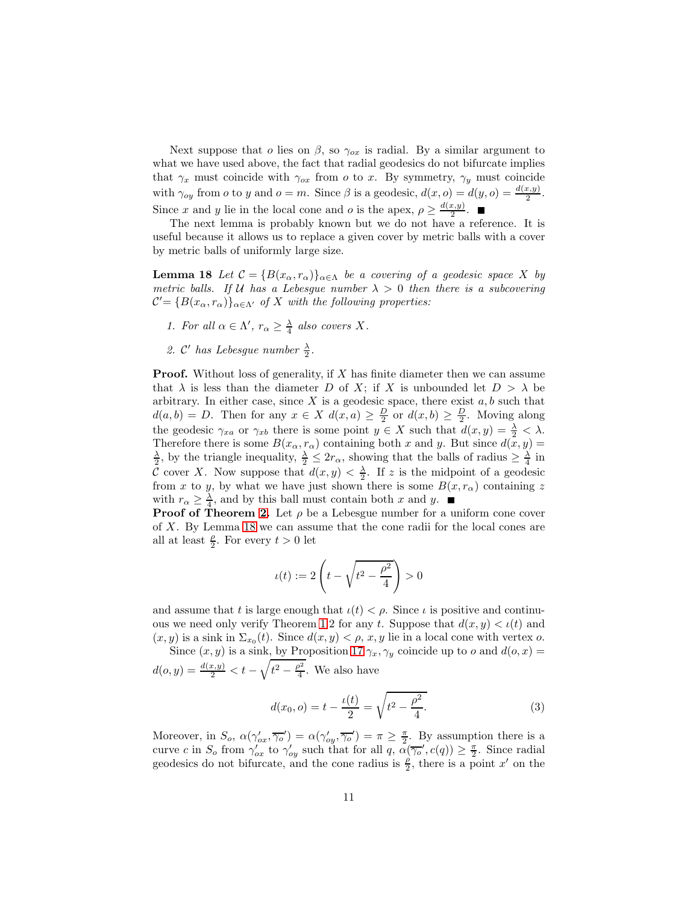Next suppose that o lies on  $\beta$ , so  $\gamma_{ox}$  is radial. By a similar argument to what we have used above, the fact that radial geodesics do not bifurcate implies that  $\gamma_x$  must coincide with  $\gamma_{ox}$  from o to x. By symmetry,  $\gamma_y$  must coincide with  $\gamma_{oy}$  from *o* to *y* and  $o = m$ . Since  $\beta$  is a geodesic,  $d(x, o) = d(y, o) = \frac{d(x, y)}{2}$ . Since x and y lie in the local cone and o is the apex,  $\rho \geq \frac{d(x,y)}{2}$  $rac{x,y_1}{2}$ .

The next lemma is probably known but we do not have a reference. It is useful because it allows us to replace a given cover by metric balls with a cover by metric balls of uniformly large size.

<span id="page-10-0"></span>**Lemma 18** Let  $\mathcal{C} = \{B(x_\alpha, r_\alpha)\}_{\alpha \in \Lambda}$  be a covering of a geodesic space X by metric balls. If U has a Lebesgue number  $\lambda > 0$  then there is a subcovering  $\mathcal{C}' = \{B(x_\alpha, r_\alpha)\}_{\alpha \in \Lambda'}$  of X with the following properties:

- 1. For all  $\alpha \in \Lambda'$ ,  $r_{\alpha} \geq \frac{\lambda}{4}$  also covers X.
- 2. C'has Lebesgue number  $\frac{\lambda}{2}$ .

**Proof.** Without loss of generality, if  $X$  has finite diameter then we can assume that  $\lambda$  is less than the diameter D of X; if X is unbounded let  $D > \lambda$  be arbitrary. In either case, since  $X$  is a geodesic space, there exist  $a, b$  such that  $d(a, b) = D$ . Then for any  $x \in X$   $d(x, a) \geq \frac{D}{2}$  or  $d(x, b) \geq \frac{D}{2}$ . Moving along the geodesic  $\gamma_{xa}$  or  $\gamma_{xb}$  there is some point  $y \in X$  such that  $d(x, y) = \frac{\lambda}{2} < \lambda$ . Therefore there is some  $B(x_{\alpha}, r_{\alpha})$  containing both x and y. But since  $d(x, y) = \frac{\lambda}{2}$ , by the triangle inequality,  $\frac{\lambda}{2} \leq 2r_{\alpha}$ , showing that the balls of radius  $\geq \frac{\lambda}{4}$  in C cover X. Now suppose that  $d(x, y) < \frac{\lambda}{2}$ . If z is the midpoint of a geodesic from x to y, by what we have just shown there is some  $B(x, r_{\alpha})$  containing z with  $r_{\alpha} \geq \frac{\lambda}{4}$ , and by this ball must contain both x and y.

**Proof of Theorem [2.](#page-1-1)** Let  $\rho$  be a Lebesgue number for a uniform cone cover of X. By Lemma [18](#page-10-0) we can assume that the cone radii for the local cones are all at least  $\frac{\rho}{2}$ . For every  $t > 0$  let

$$
u(t) := 2\left(t - \sqrt{t^2 - \frac{\rho^2}{4}}\right) > 0
$$

and assume that t is large enough that  $\iota(t) < \rho$ . Since  $\iota$  is positive and continu-ous we need only verify Theorem [1.](#page-1-0)2 for any t. Suppose that  $d(x, y) < \iota(t)$  and  $(x, y)$  is a sink in  $\Sigma_{x_0}(t)$ . Since  $d(x, y) < \rho$ , x, y lie in a local cone with vertex o.

Since  $(x, y)$  is a sink, by Proposition [17](#page-8-0)  $\gamma_x, \gamma_y$  coincide up to o and  $d(o, x) =$  $d(o, y) = \frac{d(x,y)}{2} < t - \sqrt{t^2 - \frac{\rho^2}{4}}$  $\frac{p^2}{4}$ . We also have

<span id="page-10-1"></span>
$$
d(x_0, o) = t - \frac{\iota(t)}{2} = \sqrt{t^2 - \frac{\rho^2}{4}}.
$$
 (3)

Moreover, in  $S_o$ ,  $\alpha(\gamma'_{ox}, \overline{\gamma'_o}) = \alpha(\gamma'_{oy}, \overline{\gamma'_o}) = \pi \geq \frac{\pi}{2}$ . By assumption there is a curve c in  $S_o$  from  $\gamma'_{ox}$  to  $\gamma'_{oy}$  such that for all  $q$ ,  $\alpha(\overline{\gamma_o}', c(q)) \geq \frac{\pi}{2}$ . Since radial geodesics do not bifurcate, and the cone radius is  $\frac{\rho}{2}$ , there is a point x' on the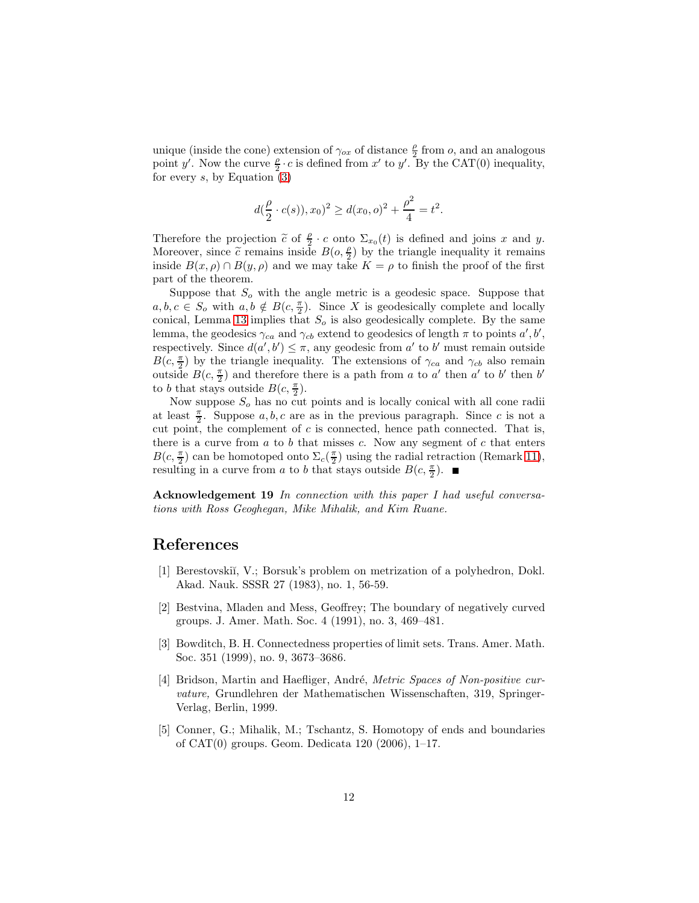unique (inside the cone) extension of  $\gamma_{ox}$  of distance  $\frac{\rho}{2}$  from  $o$ , and an analogous point y'. Now the curve  $\frac{\rho}{2} \cdot c$  is defined from x' to y'. By the CAT(0) inequality, for every  $s$ , by Equation  $(3)$ 

$$
d(\frac{\rho}{2} \cdot c(s)), x_0)^2 \ge d(x_0, o)^2 + \frac{\rho^2}{4} = t^2.
$$

Therefore the projection  $\tilde{c}$  of  $\frac{\rho}{2} \cdot c$  onto  $\Sigma_{x_0}(t)$  is defined and joins x and y. Moreover, since  $\tilde{c}$  remains inside  $B(o, \frac{\rho}{2})$  $\frac{\rho}{2}$ ) by the triangle inequality it remains inside  $B(x, \rho) \cap B(y, \rho)$  and we may take  $K = \rho$  to finish the proof of the first part of the theorem.

Suppose that  $S<sub>o</sub>$  with the angle metric is a geodesic space. Suppose that  $a, b, c \in S_o$  with  $a, b \notin B(c, \frac{\pi}{2})$ . Since X is geodesically complete and locally conical, Lemma [13](#page-6-0) implies that  $S<sub>o</sub>$  is also geodesically complete. By the same lemma, the geodesics  $\gamma_{ca}$  and  $\gamma_{cb}$  extend to geodesics of length  $\pi$  to points  $a', b',$ respectively. Since  $d(a', b') \leq \pi$ , any geodesic from a' to b' must remain outside  $B(c, \frac{\pi}{2})$  by the triangle inequality. The extensions of  $\gamma_{ca}$  and  $\gamma_{cb}$  also remain outside  $B(c, \frac{\pi}{2})$  and therefore there is a path from a to a' then a' to b' then b' to b that stays outside  $B(c, \frac{\pi}{2})$ .

Now suppose  $S<sub>o</sub>$  has no cut points and is locally conical with all cone radii at least  $\frac{\pi}{2}$ . Suppose a, b, c are as in the previous paragraph. Since c is not a cut point, the complement of  $c$  is connected, hence path connected. That is, there is a curve from  $a$  to  $b$  that misses  $c$ . Now any segment of  $c$  that enters  $B(c, \frac{\pi}{2})$  can be homotoped onto  $\Sigma_c(\frac{\pi}{2})$  using the radial retraction (Remark [11\)](#page-6-2), resulting in a curve from a to b that stays outside  $B(c, \frac{\pi}{2})$ .

Acknowledgement 19 In connection with this paper I had useful conversations with Ross Geoghegan, Mike Mihalik, and Kim Ruane.

## <span id="page-11-3"></span>References

- [1] Berestovski˘ı, V.; Borsuk's problem on metrization of a polyhedron, Dokl. Akad. Nauk. SSSR 27 (1983), no. 1, 56-59.
- <span id="page-11-1"></span>[2] Bestvina, Mladen and Mess, Geoffrey; The boundary of negatively curved groups. J. Amer. Math. Soc. 4 (1991), no. 3, 469–481.
- <span id="page-11-2"></span>[3] Bowditch, B. H. Connectedness properties of limit sets. Trans. Amer. Math. Soc. 351 (1999), no. 9, 3673–3686.
- <span id="page-11-0"></span>[4] Bridson, Martin and Haefliger, André, *Metric Spaces of Non-positive cur*vature, Grundlehren der Mathematischen Wissenschaften, 319, Springer-Verlag, Berlin, 1999.
- [5] Conner, G.; Mihalik, M.; Tschantz, S. Homotopy of ends and boundaries of CAT(0) groups. Geom. Dedicata 120 (2006), 1–17.